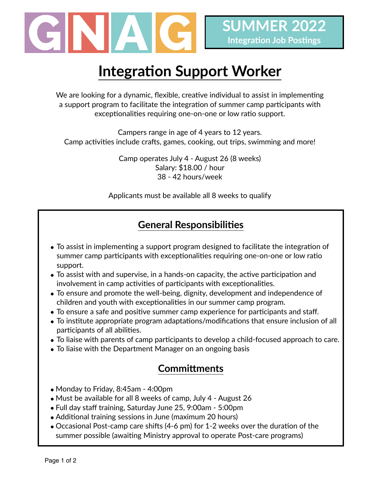

# **Integration Support Worker**

We are looking for a dynamic, flexible, creative individual to assist in implementing a support program to facilitate the integration of summer camp participants with exceptionalities requiring one-on-one or low ratio support.

Campers range in age of 4 years to 12 years. Camp activities include crafts, games, cooking, out trips, swimming and more!

> Camp operates July 4 - August 26 (8 weeks) Salary: \$18.00 / hour 38 - 42 hours/week

Applicants must be available all 8 weeks to qualify

### **General Responsibilities**

- To assist in implementing a support program designed to facilitate the integration of summer camp participants with exceptionalities requiring one-on-one or low ratio support.
- To assist with and supervise, in a hands-on capacity, the active participation and involvement in camp activities of participants with exceptionalities.
- To ensure and promote the well-being, dignity, development and independence of children and youth with exceptionalities in our summer camp program.
- To ensure a safe and positive summer camp experience for participants and staff.
- To institute appropriate program adaptations/modifications that ensure inclusion of all participants of all abilities.
- To liaise with parents of camp participants to develop a child-focused approach to care.
- To liaise with the Department Manager on an ongoing basis

#### **Committments**

- Monday to Friday, 8:45am 4:00pm
- Must be available for all 8 weeks of camp, July 4 August 26
- Full day staff training, Saturday June 25, 9:00am 5:00pm
- Additional training sessions in June (maximum 20 hours)
- Occasional Post-camp care shifts (4-6 pm) for 1-2 weeks over the duration of the summer possible (awaiting Ministry approval to operate Post-care programs)